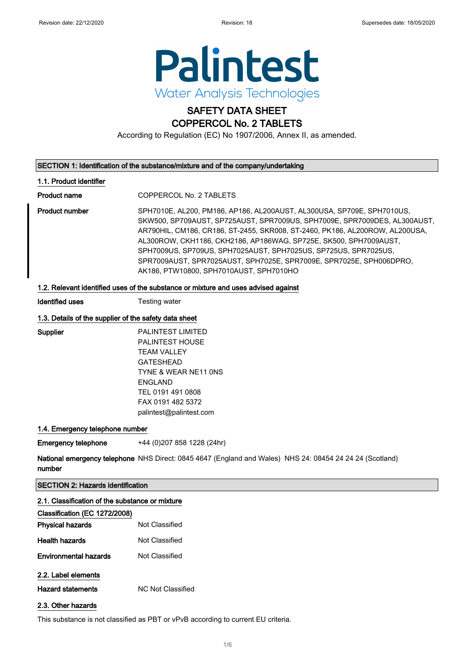

# SAFETY DATA SHEET

### COPPERCOL No. 2 TABLETS

According to Regulation (EC) No 1907/2006, Annex II, as amended.

#### SECTION 1: Identification of the substance/mixture and of the company/undertaking

#### 1.1. Product identifier

Product name COPPERCOL No. 2 TABLETS

Product number SPH7010E, AL200, PM186, AP186, AL200AUST, AL300USA, SP709E, SPH7010US, SKW500, SP709AUST, SP725AUST, SPR7009US, SPH7009E, SPR7009DES, AL300AUST, AR790HIL, CM186, CR186, ST-2455, SKR008, ST-2460, PK186, AL200ROW, AL200USA, AL300ROW, CKH1186, CKH2186, AP186WAG, SP725E, SK500, SPH7009AUST, SPH7009US, SP709US, SPH7025AUST, SPH7025US, SP725US, SPR7025US, SPR7009AUST, SPR7025AUST, SPH7025E, SPR7009E, SPR7025E, SPH006DPRO, AK186, PTW10800, SPH7010AUST, SPH7010HO

#### 1.2. Relevant identified uses of the substance or mixture and uses advised against

**Identified uses** Testing water

#### 1.3. Details of the supplier of the safety data sheet

Supplier PALINTEST LIMITED PALINTEST HOUSE TEAM VALLEY GATESHEAD TYNE & WEAR NE11 0NS ENGLAND TEL 0191 491 0808 FAX 0191 482 5372 palintest@palintest.com

#### 1.4. Emergency telephone number

Emergency telephone +44 (0)207 858 1228 (24hr)

**National emergency telephone** NHS Direct: 0845 4647 (England and Wales) NHS 24: 08454 24 24 24 (Scotland) number

#### SECTION 2: Hazards identification

#### 2.1. Classification of the substance or mixture

| Classification (EC 1272/2008) |                          |
|-------------------------------|--------------------------|
| <b>Physical hazards</b>       | Not Classified           |
| <b>Health hazards</b>         | Not Classified           |
| Environmental hazards         | Not Classified           |
| 2.2. Label elements           |                          |
| <b>Hazard statements</b>      | <b>NC Not Classified</b> |
|                               |                          |

#### 2.3. Other hazards

This substance is not classified as PBT or vPvB according to current EU criteria.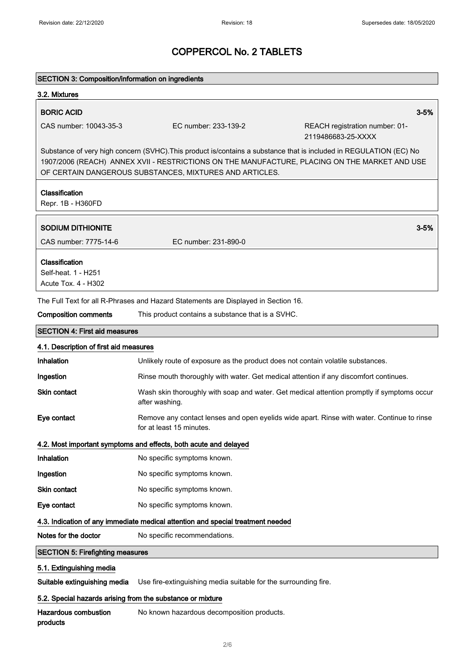| <b>SECTION 3: Composition/information on ingredients</b>                                                                                                                                                                                                                       |                                                                                                                        |                                                      |  |  |
|--------------------------------------------------------------------------------------------------------------------------------------------------------------------------------------------------------------------------------------------------------------------------------|------------------------------------------------------------------------------------------------------------------------|------------------------------------------------------|--|--|
| 3.2. Mixtures                                                                                                                                                                                                                                                                  |                                                                                                                        |                                                      |  |  |
| <b>BORIC ACID</b>                                                                                                                                                                                                                                                              |                                                                                                                        | $3 - 5%$                                             |  |  |
| CAS number: 10043-35-3                                                                                                                                                                                                                                                         | EC number: 233-139-2                                                                                                   | REACH registration number: 01-<br>2119486683-25-XXXX |  |  |
| Substance of very high concern (SVHC). This product is/contains a substance that is included in REGULATION (EC) No<br>1907/2006 (REACH) ANNEX XVII - RESTRICTIONS ON THE MANUFACTURE, PLACING ON THE MARKET AND USE<br>OF CERTAIN DANGEROUS SUBSTANCES, MIXTURES AND ARTICLES. |                                                                                                                        |                                                      |  |  |
| Classification<br>Repr. 1B - H360FD                                                                                                                                                                                                                                            |                                                                                                                        |                                                      |  |  |
| <b>SODIUM DITHIONITE</b>                                                                                                                                                                                                                                                       |                                                                                                                        | $3 - 5%$                                             |  |  |
| CAS number: 7775-14-6                                                                                                                                                                                                                                                          | EC number: 231-890-0                                                                                                   |                                                      |  |  |
| Classification<br>Self-heat. 1 - H251<br>Acute Tox. 4 - H302                                                                                                                                                                                                                   |                                                                                                                        |                                                      |  |  |
|                                                                                                                                                                                                                                                                                | The Full Text for all R-Phrases and Hazard Statements are Displayed in Section 16.                                     |                                                      |  |  |
| <b>Composition comments</b>                                                                                                                                                                                                                                                    | This product contains a substance that is a SVHC.                                                                      |                                                      |  |  |
| <b>SECTION 4: First aid measures</b>                                                                                                                                                                                                                                           |                                                                                                                        |                                                      |  |  |
| 4.1. Description of first aid measures                                                                                                                                                                                                                                         |                                                                                                                        |                                                      |  |  |
| Inhalation                                                                                                                                                                                                                                                                     | Unlikely route of exposure as the product does not contain volatile substances.                                        |                                                      |  |  |
| Ingestion                                                                                                                                                                                                                                                                      | Rinse mouth thoroughly with water. Get medical attention if any discomfort continues.                                  |                                                      |  |  |
| Skin contact                                                                                                                                                                                                                                                                   | Wash skin thoroughly with soap and water. Get medical attention promptly if symptoms occur<br>after washing.           |                                                      |  |  |
| Eye contact                                                                                                                                                                                                                                                                    | Remove any contact lenses and open eyelids wide apart. Rinse with water. Continue to rinse<br>for at least 15 minutes. |                                                      |  |  |
|                                                                                                                                                                                                                                                                                | 4.2. Most important symptoms and effects, both acute and delayed                                                       |                                                      |  |  |
| Inhalation                                                                                                                                                                                                                                                                     | No specific symptoms known.                                                                                            |                                                      |  |  |
| Ingestion                                                                                                                                                                                                                                                                      | No specific symptoms known.                                                                                            |                                                      |  |  |
| Skin contact                                                                                                                                                                                                                                                                   | No specific symptoms known.                                                                                            |                                                      |  |  |
| Eye contact                                                                                                                                                                                                                                                                    | No specific symptoms known.                                                                                            |                                                      |  |  |
| 4.3. Indication of any immediate medical attention and special treatment needed                                                                                                                                                                                                |                                                                                                                        |                                                      |  |  |
| Notes for the doctor                                                                                                                                                                                                                                                           | No specific recommendations.                                                                                           |                                                      |  |  |
| <b>SECTION 5: Firefighting measures</b>                                                                                                                                                                                                                                        |                                                                                                                        |                                                      |  |  |
| 5.1. Extinguishing media                                                                                                                                                                                                                                                       |                                                                                                                        |                                                      |  |  |
| Suitable extinguishing media                                                                                                                                                                                                                                                   | Use fire-extinguishing media suitable for the surrounding fire.                                                        |                                                      |  |  |
| 5.2. Special hazards arising from the substance or mixture                                                                                                                                                                                                                     |                                                                                                                        |                                                      |  |  |
| <b>Hazardous combustion</b><br>products                                                                                                                                                                                                                                        | No known hazardous decomposition products.                                                                             |                                                      |  |  |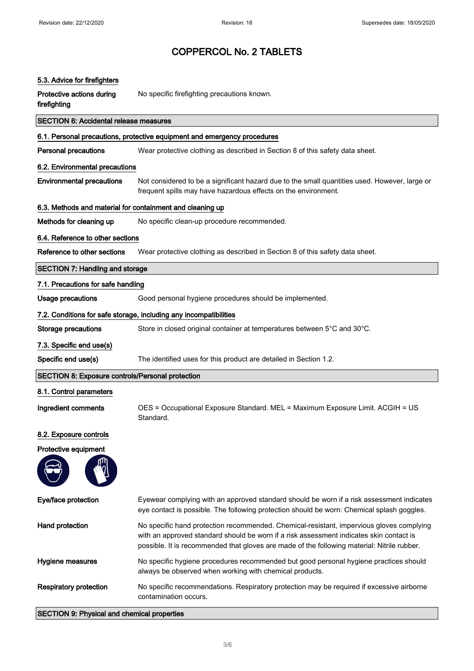| 5.3. Advice for firefighters                                      |                                                                                                                                                                                                                                                                                    |  |
|-------------------------------------------------------------------|------------------------------------------------------------------------------------------------------------------------------------------------------------------------------------------------------------------------------------------------------------------------------------|--|
| Protective actions during<br>firefighting                         | No specific firefighting precautions known.                                                                                                                                                                                                                                        |  |
| <b>SECTION 6: Accidental release measures</b>                     |                                                                                                                                                                                                                                                                                    |  |
|                                                                   | 6.1. Personal precautions, protective equipment and emergency procedures                                                                                                                                                                                                           |  |
| <b>Personal precautions</b>                                       | Wear protective clothing as described in Section 8 of this safety data sheet.                                                                                                                                                                                                      |  |
| 6.2. Environmental precautions                                    |                                                                                                                                                                                                                                                                                    |  |
| <b>Environmental precautions</b>                                  | Not considered to be a significant hazard due to the small quantities used. However, large or<br>frequent spills may have hazardous effects on the environment.                                                                                                                    |  |
| 6.3. Methods and material for containment and cleaning up         |                                                                                                                                                                                                                                                                                    |  |
| Methods for cleaning up                                           | No specific clean-up procedure recommended.                                                                                                                                                                                                                                        |  |
| 6.4. Reference to other sections                                  |                                                                                                                                                                                                                                                                                    |  |
| Reference to other sections                                       | Wear protective clothing as described in Section 8 of this safety data sheet.                                                                                                                                                                                                      |  |
| <b>SECTION 7: Handling and storage</b>                            |                                                                                                                                                                                                                                                                                    |  |
| 7.1. Precautions for safe handling                                |                                                                                                                                                                                                                                                                                    |  |
| <b>Usage precautions</b>                                          | Good personal hygiene procedures should be implemented.                                                                                                                                                                                                                            |  |
| 7.2. Conditions for safe storage, including any incompatibilities |                                                                                                                                                                                                                                                                                    |  |
| <b>Storage precautions</b>                                        | Store in closed original container at temperatures between 5°C and 30°C.                                                                                                                                                                                                           |  |
| 7.3. Specific end use(s)                                          |                                                                                                                                                                                                                                                                                    |  |
| Specific end use(s)                                               | The identified uses for this product are detailed in Section 1.2.                                                                                                                                                                                                                  |  |
| <b>SECTION 8: Exposure controls/Personal protection</b>           |                                                                                                                                                                                                                                                                                    |  |
| 8.1. Control parameters                                           |                                                                                                                                                                                                                                                                                    |  |
| Ingredient comments                                               | OES = Occupational Exposure Standard. MEL = Maximum Exposure Limit. ACGIH = US<br>Standard.                                                                                                                                                                                        |  |
| 8.2. Exposure controls                                            |                                                                                                                                                                                                                                                                                    |  |
| Protective equipment                                              |                                                                                                                                                                                                                                                                                    |  |
|                                                                   |                                                                                                                                                                                                                                                                                    |  |
| Eye/face protection                                               | Eyewear complying with an approved standard should be worn if a risk assessment indicates<br>eye contact is possible. The following protection should be worn: Chemical splash goggles.                                                                                            |  |
| Hand protection                                                   | No specific hand protection recommended. Chemical-resistant, impervious gloves complying<br>with an approved standard should be worn if a risk assessment indicates skin contact is<br>possible. It is recommended that gloves are made of the following material: Nitrile rubber. |  |
| Hygiene measures                                                  | No specific hygiene procedures recommended but good personal hygiene practices should<br>always be observed when working with chemical products.                                                                                                                                   |  |
| <b>Respiratory protection</b>                                     | No specific recommendations. Respiratory protection may be required if excessive airborne<br>contamination occurs.                                                                                                                                                                 |  |
| <b>SECTION 9: Physical and chemical properties</b>                |                                                                                                                                                                                                                                                                                    |  |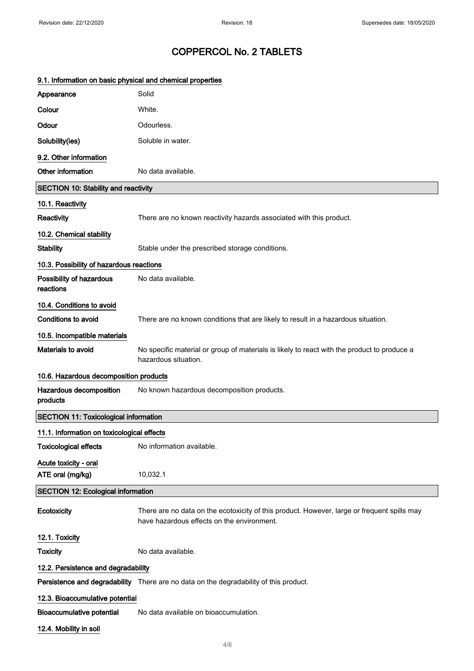| 9.1. Information on basic physical and chemical properties |                                                                                                                                           |  |
|------------------------------------------------------------|-------------------------------------------------------------------------------------------------------------------------------------------|--|
| Appearance                                                 | Solid                                                                                                                                     |  |
| Colour                                                     | White.                                                                                                                                    |  |
| Odour                                                      | Odourless.                                                                                                                                |  |
| Solubility(ies)                                            | Soluble in water.                                                                                                                         |  |
| 9.2. Other information                                     |                                                                                                                                           |  |
| Other information                                          | No data available.                                                                                                                        |  |
| <b>SECTION 10: Stability and reactivity</b>                |                                                                                                                                           |  |
| 10.1. Reactivity                                           |                                                                                                                                           |  |
| Reactivity                                                 | There are no known reactivity hazards associated with this product.                                                                       |  |
| 10.2. Chemical stability                                   |                                                                                                                                           |  |
| <b>Stability</b>                                           | Stable under the prescribed storage conditions.                                                                                           |  |
| 10.3. Possibility of hazardous reactions                   |                                                                                                                                           |  |
| Possibility of hazardous<br>reactions                      | No data available.                                                                                                                        |  |
| 10.4. Conditions to avoid                                  |                                                                                                                                           |  |
| <b>Conditions to avoid</b>                                 | There are no known conditions that are likely to result in a hazardous situation.                                                         |  |
| 10.5. Incompatible materials                               |                                                                                                                                           |  |
| <b>Materials to avoid</b>                                  | No specific material or group of materials is likely to react with the product to produce a<br>hazardous situation.                       |  |
| 10.6. Hazardous decomposition products                     |                                                                                                                                           |  |
| Hazardous decomposition<br>products                        | No known hazardous decomposition products.                                                                                                |  |
| <b>SECTION 11: Toxicological information</b>               |                                                                                                                                           |  |
| 11.1. Information on toxicological effects                 |                                                                                                                                           |  |
| <b>Toxicological effects</b>                               | No information available.                                                                                                                 |  |
| Acute toxicity - oral<br>ATE oral (mg/kg)                  | 10,032.1                                                                                                                                  |  |
| <b>SECTION 12: Ecological information</b>                  |                                                                                                                                           |  |
| Ecotoxicity                                                | There are no data on the ecotoxicity of this product. However, large or frequent spills may<br>have hazardous effects on the environment. |  |
| 12.1. Toxicity                                             |                                                                                                                                           |  |
| <b>Toxicity</b>                                            | No data available.                                                                                                                        |  |
| 12.2. Persistence and degradability                        |                                                                                                                                           |  |
|                                                            | Persistence and degradability There are no data on the degradability of this product.                                                     |  |
| 12.3. Bioaccumulative potential                            |                                                                                                                                           |  |
| <b>Bioaccumulative potential</b>                           | No data available on bioaccumulation.                                                                                                     |  |
| 12.4. Mobility in soil                                     |                                                                                                                                           |  |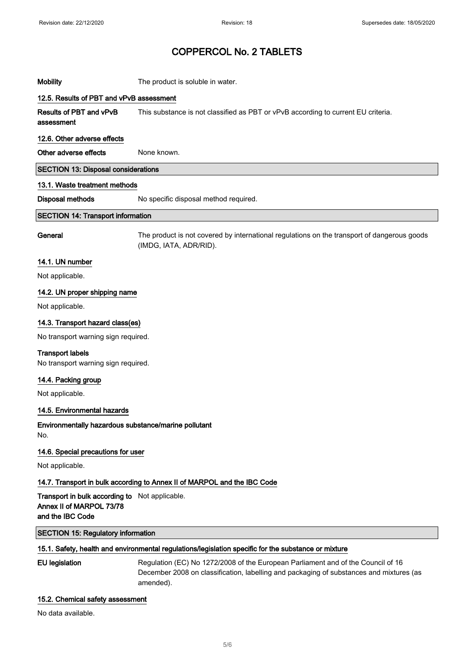## Mobility **Mobility** The product is soluble in water. 12.5. Results of PBT and vPvB assessment Results of PBT and vPvB assessment

This substance is not classified as PBT or vPvB according to current EU criteria.

### 12.6. Other adverse effects

Other adverse effects None known.

#### SECTION 13: Disposal considerations

#### 13.1. Waste treatment methods

Disposal methods No specific disposal method required.

#### SECTION 14: Transport information

General The product is not covered by international regulations on the transport of dangerous goods (IMDG, IATA, ADR/RID).

#### 14.1. UN number

Not applicable.

#### 14.2. UN proper shipping name

Not applicable.

#### 14.3. Transport hazard class(es)

No transport warning sign required.

#### Transport labels

No transport warning sign required.

#### 14.4. Packing group

Not applicable.

#### 14.5. Environmental hazards

Environmentally hazardous substance/marine pollutant No.

#### 14.6. Special precautions for user

Not applicable.

#### 14.7. Transport in bulk according to Annex II of MARPOL and the IBC Code

Transport in bulk according to Not applicable. Annex II of MARPOL 73/78 and the IBC Code

#### SECTION 15: Regulatory information

#### 15.1. Safety, health and environmental regulations/legislation specific for the substance or mixture

EU legislation Regulation (EC) No 1272/2008 of the European Parliament and of the Council of 16 December 2008 on classification, labelling and packaging of substances and mixtures (as amended).

#### 15.2. Chemical safety assessment

No data available.